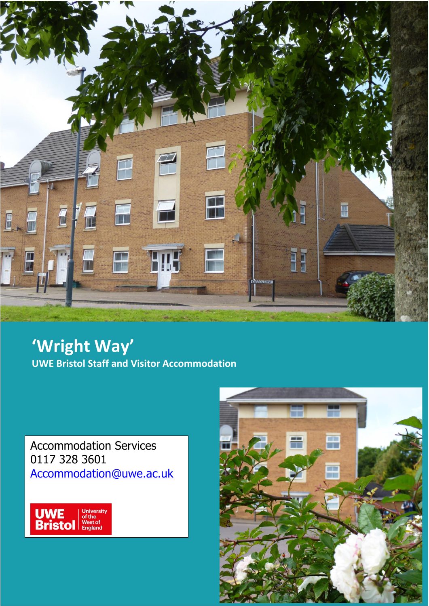

**'Wright Way' UWE Bristol Staff and Visitor Accommodation**

Accommodation Services 0117 328 3601 [Accommodation@uwe.ac.uk](mailto:Accommodation@uwe.ac.uk)



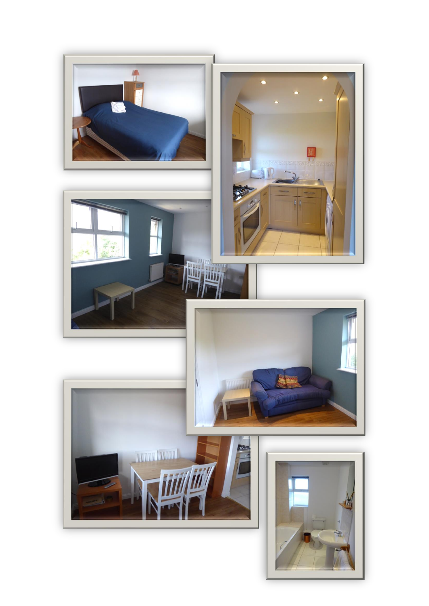